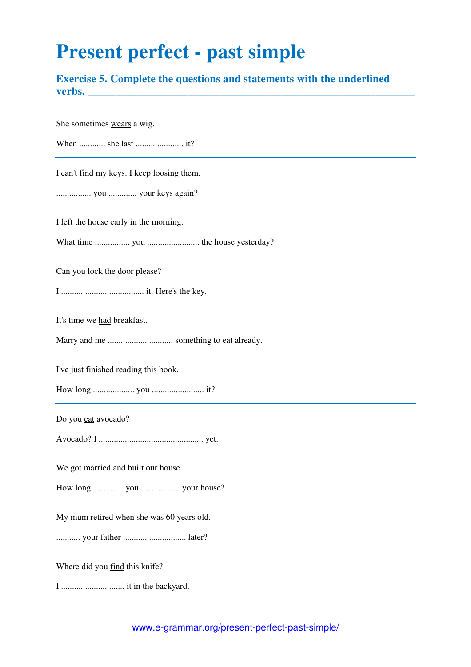## **Present perfect - past simple**

**Exercise 5. Complete the questions and statements with the underlined verbs. \_\_\_\_\_\_\_\_\_\_\_\_\_\_\_\_\_\_\_\_\_\_\_\_\_\_\_\_\_\_\_\_\_\_\_\_\_\_\_\_\_\_\_\_\_\_\_\_\_\_\_\_\_\_\_\_\_\_\_** 

She sometimes wears a wig. When ............ she last ...................... it? I can't find my keys. I keep loosing them. ................ you ............. your keys again? I left the house early in the morning. What time ................ you ........................ the house yesterday? Can you lock the door please? I ...................................... it. Here's the key. It's time we had breakfast. Marry and me .............................. something to eat already. I've just finished reading this book. How long ................... you ........................ it? Do you eat avocado? Avocado? I ................................................ yet. We got married and **built** our house. How long .............. you .................. your house? My mum retired when she was 60 years old. ........... your father ............................. later? Where did you find this knife? I ............................. it in the backyard.